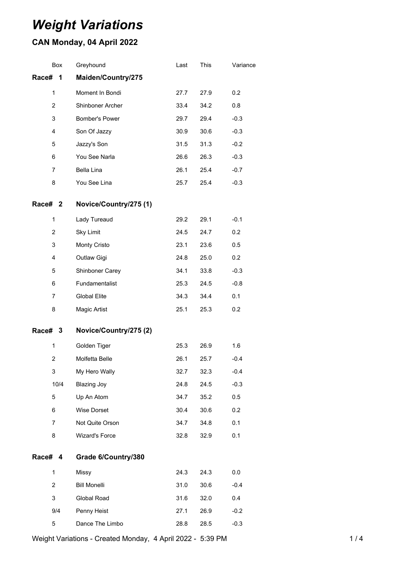# *Weight Variations*

## **CAN Monday, 04 April 2022**

| Box            | Greyhound              | Last | This | Variance |
|----------------|------------------------|------|------|----------|
| Race#<br>1     | Maiden/Country/275     |      |      |          |
| 1              | Moment In Bondi        | 27.7 | 27.9 | 0.2      |
| $\overline{2}$ | Shinboner Archer       | 33.4 | 34.2 | 0.8      |
| 3              | Bomber's Power         | 29.7 | 29.4 | $-0.3$   |
| 4              | Son Of Jazzy           | 30.9 | 30.6 | $-0.3$   |
| 5              | Jazzy's Son            | 31.5 | 31.3 | $-0.2$   |
| 6              | You See Narla          | 26.6 | 26.3 | $-0.3$   |
| 7              | Bella Lina             | 26.1 | 25.4 | $-0.7$   |
| 8              | You See Lina           | 25.7 | 25.4 | $-0.3$   |
| Race# 2        | Novice/Country/275 (1) |      |      |          |
| 1              | Lady Tureaud           | 29.2 | 29.1 | $-0.1$   |
| $\overline{2}$ | <b>Sky Limit</b>       | 24.5 | 24.7 | 0.2      |
| 3              | Monty Cristo           | 23.1 | 23.6 | 0.5      |
| $\overline{4}$ | Outlaw Gigi            | 24.8 | 25.0 | 0.2      |
| 5              | Shinboner Carey        | 34.1 | 33.8 | $-0.3$   |
| 6              | Fundamentalist         | 25.3 | 24.5 | $-0.8$   |
| 7              | <b>Global Elite</b>    | 34.3 | 34.4 | 0.1      |
| 8              | Magic Artist           | 25.1 | 25.3 | 0.2      |
| Race# 3        | Novice/Country/275 (2) |      |      |          |
| 1              | Golden Tiger           | 25.3 | 26.9 | 1.6      |
| 2              | Molfetta Belle         | 26.1 | 25.7 | $-0.4$   |
| 3              | My Hero Wally          | 32.7 | 32.3 | $-0.4$   |
| 10/4           | <b>Blazing Joy</b>     | 24.8 | 24.5 | $-0.3$   |
| 5              | Up An Atom             | 34.7 | 35.2 | 0.5      |
| 6              | Wise Dorset            | 30.4 | 30.6 | 0.2      |
| $\overline{7}$ | Not Quite Orson        | 34.7 | 34.8 | 0.1      |
| 8              | <b>Wizard's Force</b>  | 32.8 | 32.9 | 0.1      |
| Race# 4        | Grade 6/Country/380    |      |      |          |
| $\mathbf{1}$   | Missy                  | 24.3 | 24.3 | 0.0      |
| $\overline{2}$ | <b>Bill Monelli</b>    | 31.0 | 30.6 | $-0.4$   |
| 3              | Global Road            | 31.6 | 32.0 | 0.4      |
| 9/4            | Penny Heist            | 27.1 | 26.9 | $-0.2$   |
| 5              | Dance The Limbo        | 28.8 | 28.5 | $-0.3$   |

Weight Variations - Created Monday, 4 April 2022 - 5:39 PM 1/4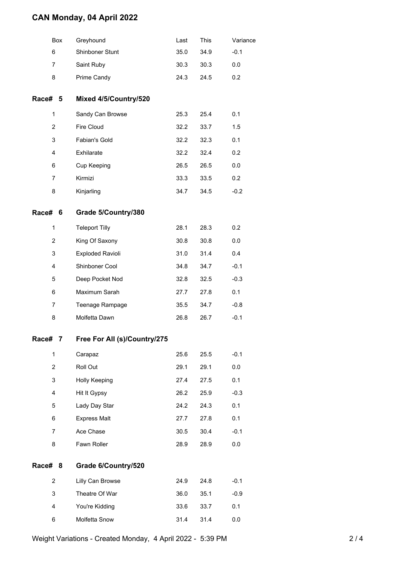### **CAN Monday, 04 April 2022**

|                           | Box | Greyhound                    | Last | This | Variance |
|---------------------------|-----|------------------------------|------|------|----------|
| 6                         |     | Shinboner Stunt              | 35.0 | 34.9 | $-0.1$   |
| 7                         |     | Saint Ruby                   | 30.3 | 30.3 | 0.0      |
| 8                         |     | Prime Candy                  | 24.3 | 24.5 | 0.2      |
| Race# 5                   |     | Mixed 4/5/Country/520        |      |      |          |
| 1                         |     | Sandy Can Browse             | 25.3 | 25.4 | 0.1      |
| $\overline{c}$            |     | Fire Cloud                   | 32.2 | 33.7 | 1.5      |
| 3                         |     | Fabian's Gold                | 32.2 | 32.3 | 0.1      |
| 4                         |     | Exhilarate                   | 32.2 | 32.4 | 0.2      |
| 6                         |     | Cup Keeping                  | 26.5 | 26.5 | 0.0      |
| 7                         |     | Kirmizi                      | 33.3 | 33.5 | 0.2      |
| 8                         |     | Kinjarling                   | 34.7 | 34.5 | $-0.2$   |
| Race# 6                   |     | Grade 5/Country/380          |      |      |          |
| 1                         |     | <b>Teleport Tilly</b>        | 28.1 | 28.3 | 0.2      |
| $\overline{c}$            |     | King Of Saxony               | 30.8 | 30.8 | 0.0      |
| 3                         |     | Exploded Ravioli             | 31.0 | 31.4 | 0.4      |
| 4                         |     | Shinboner Cool               | 34.8 | 34.7 | $-0.1$   |
| 5                         |     | Deep Pocket Nod              | 32.8 | 32.5 | $-0.3$   |
| 6                         |     | Maximum Sarah                | 27.7 | 27.8 | 0.1      |
| 7                         |     | Teenage Rampage              | 35.5 | 34.7 | $-0.8$   |
| 8                         |     | Molfetta Dawn                | 26.8 | 26.7 | $-0.1$   |
| Race#                     | 7   | Free For All (s)/Country/275 |      |      |          |
| 1                         |     | Carapaz                      | 25.6 | 25.5 | $-0.1$   |
| $\overline{c}$            |     | Roll Out                     | 29.1 | 29.1 | 0.0      |
| $\ensuremath{\mathsf{3}}$ |     | Holly Keeping                | 27.4 | 27.5 | 0.1      |
| 4                         |     | Hit It Gypsy                 | 26.2 | 25.9 | $-0.3$   |
| 5                         |     | Lady Day Star                | 24.2 | 24.3 | 0.1      |
| 6                         |     | <b>Express Malt</b>          | 27.7 | 27.8 | 0.1      |
| 7                         |     | Ace Chase                    | 30.5 | 30.4 | $-0.1$   |
| 8                         |     | Fawn Roller                  | 28.9 | 28.9 | 0.0      |
| Race#                     | 8   | Grade 6/Country/520          |      |      |          |
| $\overline{c}$            |     | Lilly Can Browse             | 24.9 | 24.8 | $-0.1$   |
| 3                         |     | Theatre Of War               | 36.0 | 35.1 | $-0.9$   |
| 4                         |     | You're Kidding               | 33.6 | 33.7 | 0.1      |
| 6                         |     | Molfetta Snow                | 31.4 | 31.4 | 0.0      |
|                           |     |                              |      |      |          |

Weight Variations - Created Monday, 4 April 2022 - 5:39 PM 2/4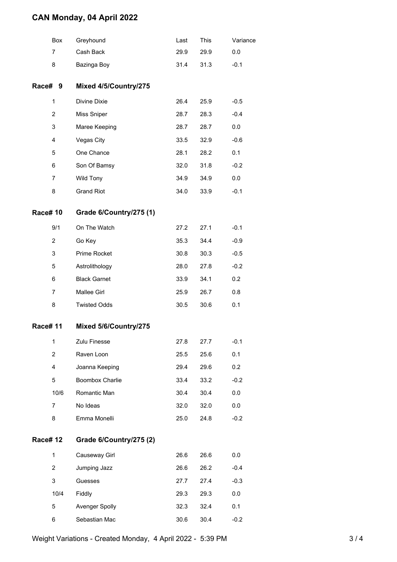### **CAN Monday, 04 April 2022**

|                | Box            | Greyhound               | Last | This | Variance |
|----------------|----------------|-------------------------|------|------|----------|
|                | 7              | Cash Back               | 29.9 | 29.9 | 0.0      |
|                | 8              | Bazinga Boy             | 31.4 | 31.3 | $-0.1$   |
| Race# 9        |                | Mixed 4/5/Country/275   |      |      |          |
|                | 1              | Divine Dixie            | 26.4 | 25.9 | $-0.5$   |
|                | $\overline{2}$ | Miss Sniper             | 28.7 | 28.3 | $-0.4$   |
|                | 3              | Maree Keeping           | 28.7 | 28.7 | 0.0      |
|                | 4              | Vegas City              | 33.5 | 32.9 | $-0.6$   |
|                | 5              | One Chance              | 28.1 | 28.2 | 0.1      |
|                | 6              | Son Of Bamsy            | 32.0 | 31.8 | $-0.2$   |
|                | $\overline{7}$ | Wild Tony               | 34.9 | 34.9 | 0.0      |
|                | 8              | <b>Grand Riot</b>       | 34.0 | 33.9 | $-0.1$   |
| <b>Race#10</b> |                | Grade 6/Country/275 (1) |      |      |          |
|                | 9/1            | On The Watch            | 27.2 | 27.1 | $-0.1$   |
|                | $\overline{2}$ | Go Key                  | 35.3 | 34.4 | $-0.9$   |
|                | 3              | Prime Rocket            | 30.8 | 30.3 | $-0.5$   |
|                | 5              | Astrolithology          | 28.0 | 27.8 | $-0.2$   |
|                | 6              | <b>Black Garnet</b>     | 33.9 | 34.1 | 0.2      |
|                | $\overline{7}$ | Mallee Girl             | 25.9 | 26.7 | 0.8      |
|                | 8              | <b>Twisted Odds</b>     | 30.5 | 30.6 | 0.1      |
| <b>Race#11</b> |                | Mixed 5/6/Country/275   |      |      |          |
|                | 1              | Zulu Finesse            | 27.8 | 27.7 | $-0.1$   |
|                | $\overline{2}$ | Raven Loon              | 25.5 | 25.6 | 0.1      |
|                | 4              | Joanna Keeping          | 29.4 | 29.6 | 0.2      |
|                | 5              | Boombox Charlie         | 33.4 | 33.2 | $-0.2$   |
|                | 10/6           | Romantic Man            | 30.4 | 30.4 | 0.0      |
|                | $\overline{7}$ | No Ideas                | 32.0 | 32.0 | 0.0      |
|                | 8              | Emma Monelli            | 25.0 | 24.8 | $-0.2$   |
| <b>Race#12</b> |                | Grade 6/Country/275 (2) |      |      |          |
|                | 1              | Causeway Girl           | 26.6 | 26.6 | 0.0      |
|                | $\overline{2}$ | Jumping Jazz            | 26.6 | 26.2 | $-0.4$   |
|                | 3              | Guesses                 | 27.7 | 27.4 | $-0.3$   |
|                | 10/4           | Fiddly                  | 29.3 | 29.3 | 0.0      |
|                | 5              | Avenger Spolly          | 32.3 | 32.4 | 0.1      |
|                | 6              | Sebastian Mac           | 30.6 | 30.4 | $-0.2$   |